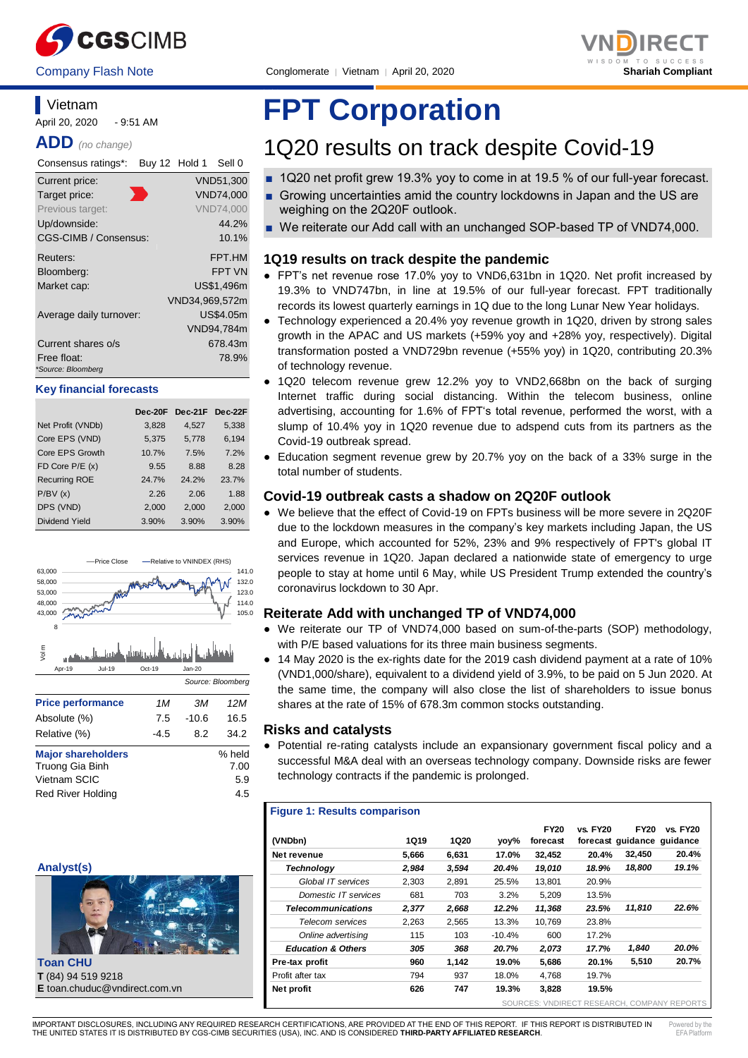



### **Vietnam**

April 20, 2020 - 9:51 AM

**ADD** *(no change)*

| Consensus ratings*:          | Buy 12 Hold 1 |                | Sell 0           |
|------------------------------|---------------|----------------|------------------|
| Current price:               |               |                | VND51,300        |
| Target price:                |               |                | VND74,000        |
| Previous target:             |               |                | <b>VND74.000</b> |
| Up/downside:                 |               |                | 44.2%            |
| <b>CGS-CIMB / Consensus:</b> |               |                | 10.1%            |
| Reuters:                     |               |                | FPT.HM           |
| Bloomberg:                   |               |                | <b>FPT VN</b>    |
| Market cap:                  |               |                | US\$1,496m       |
|                              |               | VND34,969,572m |                  |
| Average daily turnover:      |               |                | US\$4.05m        |
|                              |               |                | VND94,784m       |
| Current shares o/s           |               |                | 678.43m          |
| Free float:                  |               |                | 78.9%            |
| *Source: Bloomberg           |               |                |                  |

#### **Key financial forecasts**

|                      | Dec-20F | $Dec-21F$ | Dec-22F |
|----------------------|---------|-----------|---------|
| Net Profit (VNDb)    | 3,828   | 4,527     | 5,338   |
| Core EPS (VND)       | 5,375   | 5,778     | 6,194   |
| Core EPS Growth      | 10.7%   | 7.5%      | 7.2%    |
| FD Core $P/E(x)$     | 9.55    | 8.88      | 8.28    |
| <b>Recurring ROE</b> | 24.7%   | 24.2%     | 23.7%   |
| P/BV(x)              | 2.26    | 2.06      | 1.88    |
| DPS (VND)            | 2,000   | 2.000     | 2,000   |
| Dividend Yield       | 3.90%   | 3.90%     | 3.90%   |





**Toan CHU T** (84) 94 519 9218 **E** toan.chuduc@vndirect.com.vn

# **FPT Corporation**

## 1Q20 results on track despite Covid-19

- 1Q20 net profit grew 19.3% yoy to come in at 19.5 % of our full-year forecast.
- Growing uncertainties amid the country lockdowns in Japan and the US are weighing on the 2Q20F outlook.
- We reiterate our Add call with an unchanged SOP-based TP of VND74,000.

#### **1Q19 results on track despite the pandemic**

- FPT's net revenue rose 17.0% yoy to VND6,631bn in 1Q20. Net profit increased by 19.3% to VND747bn, in line at 19.5% of our full-year forecast. FPT traditionally records its lowest quarterly earnings in 1Q due to the long Lunar New Year holidays.
- Technology experienced a 20.4% yoy revenue growth in 1Q20, driven by strong sales growth in the APAC and US markets (+59% yoy and +28% yoy, respectively). Digital transformation posted a VND729bn revenue (+55% yoy) in 1Q20, contributing 20.3% of technology revenue.
- 1Q20 telecom revenue grew 12.2% yoy to VND2,668bn on the back of surging Internet traffic during social distancing. Within the telecom business, online advertising, accounting for 1.6% of FPT's total revenue, performed the worst, with a slump of 10.4% yoy in 1Q20 revenue due to adspend cuts from its partners as the Covid-19 outbreak spread.
- Education segment revenue grew by 20.7% yoy on the back of a 33% surge in the total number of students.

#### **Covid-19 outbreak casts a shadow on 2Q20F outlook**

● We believe that the effect of Covid-19 on FPTs business will be more severe in 2Q20F due to the lockdown measures in the company's key markets including Japan, the US and Europe, which accounted for 52%, 23% and 9% respectively of FPT's global IT services revenue in 1Q20. Japan declared a nationwide state of emergency to urge people to stay at home until 6 May, while US President Trump extended the country's coronavirus lockdown to 30 Apr.

#### **Reiterate Add with unchanged TP of VND74,000**

- We reiterate our TP of VND74,000 based on sum-of-the-parts (SOP) methodology, with P/E based valuations for its three main business segments.
- 14 May 2020 is the ex-rights date for the 2019 cash dividend payment at a rate of 10% (VND1,000/share), equivalent to a dividend yield of 3.9%, to be paid on 5 Jun 2020. At the same time, the company will also close the list of shareholders to issue bonus shares at the rate of 15% of 678.3m common stocks outstanding.

#### **Risks and catalysts**

● Potential re-rating catalysts include an expansionary government fiscal policy and a successful M&A deal with an overseas technology company. Downside risks are fewer technology contracts if the pandemic is prolonged.

#### **Figure 1: Results comparison**

| (VNDbn)                       | <b>1Q19</b> | <b>1Q20</b> | yoy%     | <b>FY20</b><br>forecast | <b>vs. FY20</b> | <b>FY20</b><br>forecast guidance guidance | <b>vs. FY20</b> |
|-------------------------------|-------------|-------------|----------|-------------------------|-----------------|-------------------------------------------|-----------------|
| Net revenue                   | 5,666       | 6.631       | 17.0%    | 32.452                  | 20.4%           | 32,450                                    | 20.4%           |
| Technology                    | 2,984       | 3,594       | 20.4%    | 19,010                  | 18.9%           | 18,800                                    | 19.1%           |
| Global IT services            | 2.303       | 2.891       | 25.5%    | 13.801                  | 20.9%           |                                           |                 |
| Domestic IT services          | 681         | 703         | 3.2%     | 5.209                   | 13.5%           |                                           |                 |
| <b>Telecommunications</b>     | 2,377       | 2,668       | 12.2%    | 11,368                  | 23.5%           | 11,810                                    | 22.6%           |
| Telecom services              | 2.263       | 2.565       | 13.3%    | 10.769                  | 23.8%           |                                           |                 |
| Online advertising            | 115         | 103         | $-10.4%$ | 600                     | 17.2%           |                                           |                 |
| <b>Education &amp; Others</b> | 305         | 368         | 20.7%    | 2,073                   | 17.7%           | 1,840                                     | 20.0%           |
| Pre-tax profit                | 960         | 1,142       | 19.0%    | 5,686                   | 20.1%           | 5,510                                     | 20.7%           |
| Profit after tax              | 794         | 937         | 18.0%    | 4.768                   | 19.7%           |                                           |                 |
| Net profit                    | 626         | 747         | 19.3%    | 3,828                   | 19.5%           |                                           |                 |

SOURCES: VNDIRECT RESEARCH, COMPANY REPORTS

IMPORTANT DISCLOSURES, INCLUDING ANY REQUIRED RESEARCH CERTIFICATIONS, ARE PROVIDED AT THE END OF THIS REPORT. IF THIS REPORT IS DISTRIBUTED IN THE UNITED STATES IT IS DISTRIBUTED BY CGS-CIMB SECURITIES (USA), INC. AND IS CONSIDERED **THIRD-PARTY AFFILIATED RESEARCH**. Powered by the  $EFA$   $DIA<sup>2</sup>$ 

٦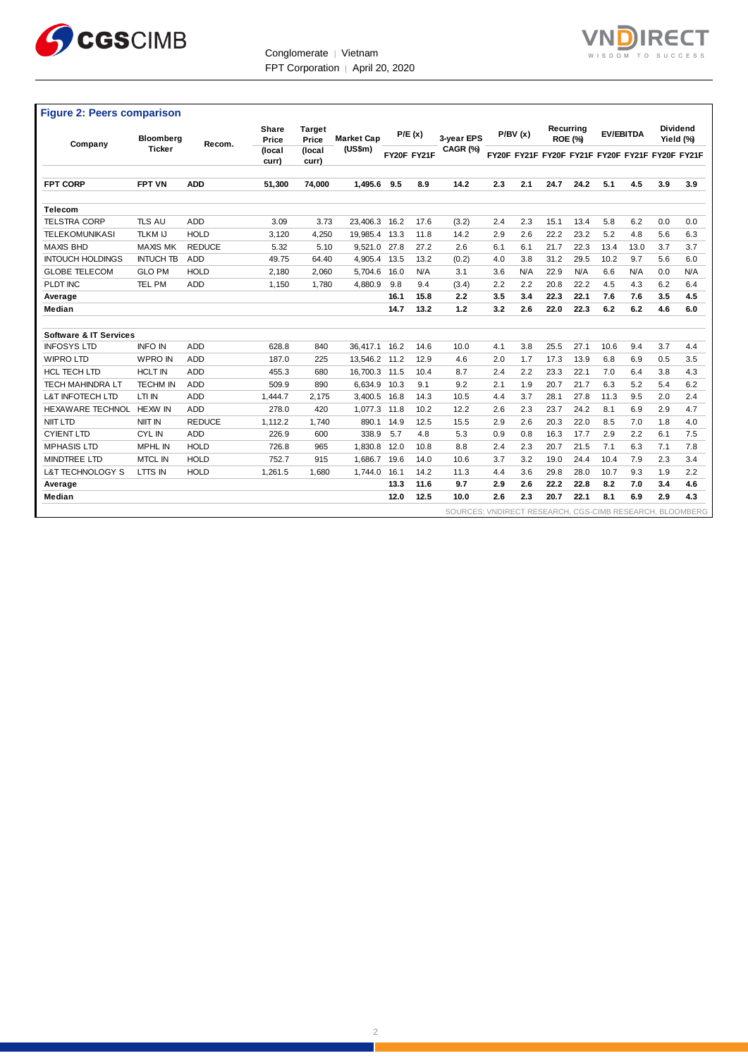

Conglomerate │ Vietnam FPT Corporation | April 20, 2020



| <b>Figure 2: Peers comparison</b> |                                                                                                              |               |                 |                 |          |                             |             |                  |           |                 |      |      |      |      |                                                 |     |
|-----------------------------------|--------------------------------------------------------------------------------------------------------------|---------------|-----------------|-----------------|----------|-----------------------------|-------------|------------------|-----------|-----------------|------|------|------|------|-------------------------------------------------|-----|
| Company                           | <b>Share</b><br><b>Target</b><br>P/E(x)<br><b>Market Cap</b><br><b>Bloomberg</b><br>Price<br>Price<br>Recom. | 3-vear EPS    | P/BV(x)         |                 |          | Recurring<br><b>ROE (%)</b> |             | <b>EV/EBITDA</b> | Yield (%) | <b>Dividend</b> |      |      |      |      |                                                 |     |
|                                   | <b>Ticker</b>                                                                                                |               | (local<br>curr) | (local<br>curr) | (US\$m)  |                             | FY20F FY21F | CAGR (%)         |           |                 |      |      |      |      | FY20F FY21F FY20F FY21F FY20F FY21F FY20F FY21F |     |
| <b>FPT CORP</b>                   | <b>FPT VN</b>                                                                                                | <b>ADD</b>    | 51.300          | 74.000          | 1.495.6  | 9.5                         | 8.9         | 14.2             | 2.3       | 2.1             | 24.7 | 24.2 | 5.1  | 4.5  | 3.9                                             | 3.9 |
| <b>Telecom</b>                    |                                                                                                              |               |                 |                 |          |                             |             |                  |           |                 |      |      |      |      |                                                 |     |
| <b>TELSTRA CORP</b>               | TLS AU                                                                                                       | <b>ADD</b>    | 3.09            | 3.73            | 23.406.3 | 16.2                        | 17.6        | (3.2)            | 2.4       | 2.3             | 15.1 | 13.4 | 5.8  | 6.2  | 0.0                                             | 0.0 |
| <b>TELEKOMUNIKASI</b>             | <b>TLKM IJ</b>                                                                                               | <b>HOLD</b>   | 3,120           | 4,250           | 19,985.4 | 13.3                        | 11.8        | 14.2             | 2.9       | 2.6             | 22.2 | 23.2 | 5.2  | 4.8  | 5.6                                             | 6.3 |
| <b>MAXIS BHD</b>                  | <b>MAXIS MK</b>                                                                                              | <b>REDUCE</b> | 5.32            | 5.10            | 9,521.0  | 27.8                        | 27.2        | 2.6              | 6.1       | 6.1             | 21.7 | 22.3 | 13.4 | 13.0 | 3.7                                             | 3.7 |
| <b>INTOUCH HOLDINGS</b>           | <b>INTUCH TB</b>                                                                                             | <b>ADD</b>    | 49.75           | 64.40           | 4.905.4  | 13.5                        | 13.2        | (0.2)            | 4.0       | 3.8             | 31.2 | 29.5 | 10.2 | 9.7  | 5.6                                             | 6.0 |
| <b>GLOBE TELECOM</b>              | <b>GLO PM</b>                                                                                                | <b>HOLD</b>   | 2.180           | 2,060           | 5.704.6  | 16.0                        | N/A         | 3.1              | 3.6       | N/A             | 22.9 | N/A  | 6.6  | N/A  | 0.0                                             | N/A |
| PLDT INC                          | <b>TEL PM</b>                                                                                                | <b>ADD</b>    | 1,150           | 1.780           | 4.880.9  | 9.8                         | 9.4         | (3.4)            | 2.2       | 2.2             | 20.8 | 22.2 | 4.5  | 4.3  | 6.2                                             | 6.4 |
| Average                           |                                                                                                              |               |                 |                 |          | 16.1                        | 15.8        | 2.2              | 3.5       | 3.4             | 22.3 | 22.1 | 7.6  | 7.6  | 3.5                                             | 4.5 |
| Median                            |                                                                                                              |               |                 |                 |          | 14.7                        | 13.2        | 1.2              | 3.2       | 2.6             | 22.0 | 22.3 | 6.2  | 6.2  | 4.6                                             | 6.0 |
|                                   |                                                                                                              |               |                 |                 |          |                             |             |                  |           |                 |      |      |      |      |                                                 |     |
| <b>Software &amp; IT Services</b> |                                                                                                              |               |                 |                 |          |                             |             |                  |           |                 |      |      |      |      |                                                 |     |
| <b>INFOSYS LTD</b>                | <b>INFO IN</b>                                                                                               | <b>ADD</b>    | 628.8           | 840             | 36.417.1 | 16.2                        | 14.6        | 10.0             | 4.1       | 3.8             | 25.5 | 27.1 | 10.6 | 9.4  | 3.7                                             | 4.4 |
| <b>WIPRO LTD</b>                  | <b>WPRO IN</b>                                                                                               | <b>ADD</b>    | 187.0           | 225             | 13.546.2 | 11.2                        | 12.9        | 4.6              | 2.0       | 1.7             | 17.3 | 13.9 | 6.8  | 6.9  | 0.5                                             | 3.5 |
| <b>HCL TECH LTD</b>               | <b>HCLT IN</b>                                                                                               | <b>ADD</b>    | 455.3           | 680             | 16.700.3 | 11.5                        | 10.4        | 8.7              | 2.4       | 2.2             | 23.3 | 22.1 | 7.0  | 6.4  | 3.8                                             | 4.3 |
| <b>TECH MAHINDRA LT</b>           | <b>TECHM IN</b>                                                                                              | <b>ADD</b>    | 509.9           | 890             | 6.634.9  | 10.3                        | 9.1         | 9.2              | 2.1       | 1.9             | 20.7 | 21.7 | 6.3  | 5.2  | 5.4                                             | 6.2 |
| <b>L&amp;T INFOTECH LTD</b>       | LTI IN                                                                                                       | <b>ADD</b>    | 1,444.7         | 2,175           | 3,400.5  | 16.8                        | 14.3        | 10.5             | 4.4       | 3.7             | 28.1 | 27.8 | 11.3 | 9.5  | 2.0                                             | 2.4 |
| <b>HEXAWARE TECHNOL</b>           | HEXW IN                                                                                                      | <b>ADD</b>    | 278.0           | 420             | 1,077.3  | 11.8                        | 10.2        | 12.2             | 2.6       | 2.3             | 23.7 | 24.2 | 8.1  | 6.9  | 2.9                                             | 4.7 |
| <b>NIIT LTD</b>                   | <b>NIIT IN</b>                                                                                               | <b>REDUCE</b> | 1.112.2         | 1.740           | 890.1    | 14.9                        | 12.5        | 15.5             | 2.9       | 2.6             | 20.3 | 22.0 | 8.5  | 7.0  | 1.8                                             | 4.0 |
| <b>CYIENT LTD</b>                 | <b>CYLIN</b>                                                                                                 | <b>ADD</b>    | 226.9           | 600             | 338.9    | 5.7                         | 4.8         | 5.3              | 0.9       | 0.8             | 16.3 | 17.7 | 2.9  | 2.2  | 6.1                                             | 7.5 |
| <b>MPHASIS LTD</b>                | <b>MPHL IN</b>                                                                                               | <b>HOLD</b>   | 726.8           | 965             | 1,830.8  | 12.0                        | 10.8        | 8.8              | 2.4       | 2.3             | 20.7 | 21.5 | 7.1  | 6.3  | 7.1                                             | 7.8 |
| <b>MINDTREE LTD</b>               | <b>MTCL IN</b>                                                                                               | <b>HOLD</b>   | 752.7           | 915             | 1,686.7  | 19.6                        | 14.0        | 10.6             | 3.7       | 3.2             | 19.0 | 24.4 | 10.4 | 7.9  | 2.3                                             | 3.4 |
| L&T TECHNOLOGY S                  | LTTS IN                                                                                                      | <b>HOLD</b>   | 1,261.5         | 1.680           | 1,744.0  | 16.1                        | 14.2        | 11.3             | 4.4       | 3.6             | 29.8 | 28.0 | 10.7 | 9.3  | 1.9                                             | 2.2 |
| Average                           |                                                                                                              |               |                 |                 |          | 13.3                        | 11.6        | 9.7              | 2.9       | 2.6             | 22.2 | 22.8 | 8.2  | 7.0  | 3.4                                             | 4.6 |
| Median                            |                                                                                                              |               |                 |                 |          | 12.0                        | 12.5        | 10.0             | 2.6       | 2.3             | 20.7 | 22.1 | 8.1  | 6.9  | 2.9                                             | 4.3 |

SOURCES: VNDIRECT RESEARCH, CGS-CIMB RESEARCH, BLOOMBERG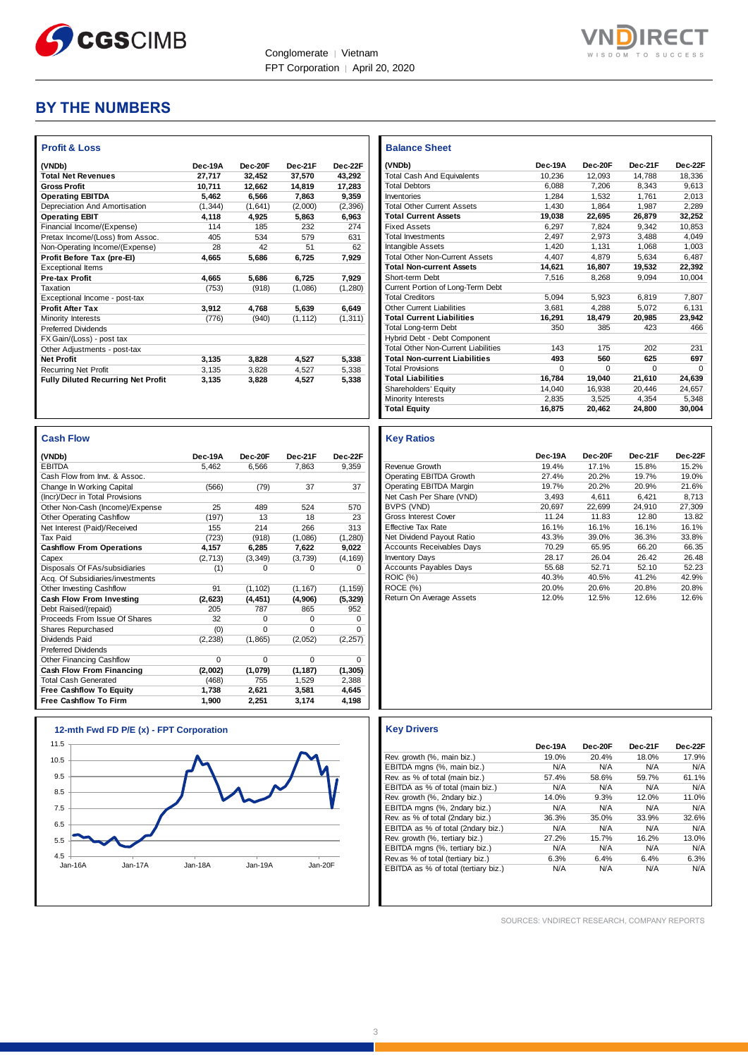



### **BY THE NUMBERS**

| (VNDb)                                    | Dec-19A  | Dec-20F | Dec-21F  | Dec-22F  |
|-------------------------------------------|----------|---------|----------|----------|
| <b>Total Net Revenues</b>                 | 27.717   | 32.452  | 37.570   | 43.292   |
| <b>Gross Profit</b>                       | 10.711   | 12.662  | 14.819   | 17,283   |
| <b>Operating EBITDA</b>                   | 5.462    | 6.566   | 7.863    | 9,359    |
| Depreciation And Amortisation             | (1, 344) | (1,641) | (2,000)  | (2, 396) |
| <b>Operating EBIT</b>                     | 4,118    | 4,925   | 5,863    | 6,963    |
| Financial Income/(Expense)                | 114      | 185     | 232      | 274      |
| Pretax Income/(Loss) from Assoc.          | 405      | 534     | 579      | 631      |
| Non-Operating Income/(Expense)            | 28       | 42      | 51       | 62       |
| Profit Before Tax (pre-El)                | 4.665    | 5.686   | 6,725    | 7.929    |
| <b>Exceptional Items</b>                  |          |         |          |          |
| Pre-tax Profit                            | 4.665    | 5.686   | 6.725    | 7.929    |
| Taxation                                  | (753)    | (918)   | (1,086)  | (1, 280) |
| Exceptional Income - post-tax             |          |         |          |          |
| <b>Profit After Tax</b>                   | 3,912    | 4,768   | 5,639    | 6,649    |
| Minority Interests                        | (776)    | (940)   | (1, 112) | (1, 311) |
| <b>Preferred Dividends</b>                |          |         |          |          |
| FX Gain/(Loss) - post tax                 |          |         |          |          |
| Other Adjustments - post-tax              |          |         |          |          |
| <b>Net Profit</b>                         | 3,135    | 3,828   | 4,527    | 5,338    |
| <b>Recurring Net Profit</b>               | 3.135    | 3.828   | 4.527    | 5.338    |
| <b>Fully Diluted Recurring Net Profit</b> | 3,135    | 3,828   | 4,527    | 5,338    |

| <b>Cash Flow</b>                 |          |          |          |          |
|----------------------------------|----------|----------|----------|----------|
| (VNDb)                           | Dec-19A  | Dec-20E  | Dec-21F  | Dec-22F  |
| <b>EBITDA</b>                    | 5.462    | 6.566    | 7.863    | 9.359    |
| Cash Flow from Invt. & Assoc.    |          |          |          |          |
| Change In Working Capital        | (566)    | (79)     | 37       | 37       |
| (Incr)/Decr in Total Provisions  |          |          |          |          |
| Other Non-Cash (Income)/Expense  | 25       | 489      | 524      | 570      |
| <b>Other Operating Cashflow</b>  | (197)    | 13       | 18       | 23       |
| Net Interest (Paid)/Received     | 155      | 214      | 266      | 313      |
| <b>Tax Paid</b>                  | (723)    | (918)    | (1,086)  | (1, 280) |
| <b>Cashflow From Operations</b>  | 4.157    | 6,285    | 7,622    | 9,022    |
| Capex                            | (2, 713) | (3, 349) | (3,739)  | (4, 169) |
| Disposals Of FAs/subsidiaries    | (1)      | $\Omega$ | $\Omega$ | $\Omega$ |
| Acq. Of Subsidiaries/investments |          |          |          |          |
| Other Investing Cashflow         | 91       | (1, 102) | (1, 167) | (1, 159) |
| Cash Flow From Investing         | (2,623)  | (4, 451) | (4,906)  | (5, 329) |
| Debt Raised/(repaid)             | 205      | 787      | 865      | 952      |
| Proceeds From Issue Of Shares    | 32       | $\Omega$ | $\Omega$ | $\Omega$ |
| Shares Repurchased               | (0)      | $\Omega$ | $\Omega$ | $\Omega$ |
| Dividends Paid                   | (2, 238) | (1,865)  | (2,052)  | (2, 257) |
| <b>Preferred Dividends</b>       |          |          |          |          |
| Other Financing Cashflow         | $\Omega$ | $\Omega$ | $\Omega$ | $\Omega$ |
| Cash Flow From Financing         | (2,002)  | (1,079)  | (1, 187) | (1, 305) |
| <b>Total Cash Generated</b>      | (468)    | 755      | 1.529    | 2,388    |
| <b>Free Cashflow To Equity</b>   | 1.738    | 2.621    | 3.581    | 4.645    |
| <b>Free Cashflow To Firm</b>     | 1.900    | 2,251    | 3,174    | 4,198    |



| <b>Balance Sheet</b>                       |          |          |          |          |
|--------------------------------------------|----------|----------|----------|----------|
| (VNDb)                                     | Dec-19A  | Dec-20E  | Dec-21F  | Dec-22F  |
| <b>Total Cash And Equivalents</b>          | 10,236   | 12,093   | 14,788   | 18,336   |
| <b>Total Debtors</b>                       | 6.088    | 7.206    | 8.343    | 9.613    |
| Inventories                                | 1.284    | 1.532    | 1.761    | 2.013    |
| <b>Total Other Current Assets</b>          | 1.430    | 1.864    | 1.987    | 2.289    |
| <b>Total Current Assets</b>                | 19,038   | 22,695   | 26,879   | 32,252   |
| <b>Fixed Assets</b>                        | 6.297    | 7.824    | 9.342    | 10.853   |
| <b>Total Investments</b>                   | 2.497    | 2.973    | 3.488    | 4.049    |
| Intangible Assets                          | 1,420    | 1.131    | 1,068    | 1,003    |
| <b>Total Other Non-Current Assets</b>      | 4,407    | 4.879    | 5.634    | 6.487    |
| <b>Total Non-current Assets</b>            | 14.621   | 16.807   | 19.532   | 22,392   |
| Short-term Debt                            | 7.516    | 8.268    | 9.094    | 10.004   |
| Current Portion of Long-Term Debt          |          |          |          |          |
| <b>Total Creditors</b>                     | 5.094    | 5.923    | 6.819    | 7.807    |
| Other Current Liabilities                  | 3.681    | 4.288    | 5.072    | 6.131    |
| <b>Total Current Liabilities</b>           | 16.291   | 18.479   | 20.985   | 23.942   |
| Total Long-term Debt                       | 350      | 385      | 423      | 466      |
| Hybrid Debt - Debt Component               |          |          |          |          |
| <b>Total Other Non-Current Liabilities</b> | 143      | 175      | 202      | 231      |
| <b>Total Non-current Liabilities</b>       | 493      | 560      | 625      | 697      |
| <b>Total Provisions</b>                    | $\Omega$ | $\Omega$ | $\Omega$ | $\Omega$ |
| <b>Total Liabilities</b>                   | 16.784   | 19.040   | 21.610   | 24,639   |
| Shareholders' Equity                       | 14.040   | 16.938   | 20.446   | 24.657   |
| Minority Interests                         | 2.835    | 3,525    | 4.354    | 5.348    |
| <b>Total Equity</b>                        | 16,875   | 20,462   | 24,800   | 30,004   |

#### **Key Ratios**

|                                  | Dec-19A | Dec-20F | Dec-21F | Dec-22F |
|----------------------------------|---------|---------|---------|---------|
| Revenue Growth                   | 19.4%   | 17.1%   | 15.8%   | 15.2%   |
| Operating EBITDA Growth          | 27.4%   | 20.2%   | 19.7%   | 19.0%   |
| Operating EBITDA Margin          | 19.7%   | 20.2%   | 20.9%   | 21.6%   |
| Net Cash Per Share (VND)         | 3.493   | 4,611   | 6.421   | 8,713   |
| BVPS (VND)                       | 20.697  | 22.699  | 24.910  | 27.309  |
| Gross Interest Cover             | 11.24   | 11.83   | 12.80   | 13.82   |
| <b>Effective Tax Rate</b>        | 16.1%   | 16.1%   | 16.1%   | 16.1%   |
| Net Dividend Payout Ratio        | 43.3%   | 39.0%   | 36.3%   | 33.8%   |
| <b>Accounts Receivables Days</b> | 70.29   | 65.95   | 66.20   | 66.35   |
| <b>Inventory Days</b>            | 28.17   | 26.04   | 26.42   | 26.48   |
| <b>Accounts Payables Days</b>    | 55.68   | 52.71   | 52.10   | 52.23   |
| <b>ROIC</b> (%)                  | 40.3%   | 40.5%   | 41.2%   | 42.9%   |
| ROCE (%)                         | 20.0%   | 20.6%   | 20.8%   | 20.8%   |
| Return On Average Assets         | 12.0%   | 12.5%   | 12.6%   | 12.6%   |

|                                      | Dec-19A | Dec-20F | Dec-21F | Dec-22F |
|--------------------------------------|---------|---------|---------|---------|
| Rev. growth (%, main biz.)           | 19.0%   | 20.4%   | 18.0%   | 17.9%   |
| EBITDA mgns (%, main biz.)           | N/A     | N/A     | N/A     | N/A     |
| Rev. as % of total (main biz.)       | 57.4%   | 58.6%   | 59.7%   | 61.1%   |
| EBITDA as % of total (main biz.)     | N/A     | N/A     | N/A     | N/A     |
| Rev. growth (%, 2ndary biz.)         | 14.0%   | 9.3%    | 12.0%   | 11.0%   |
| EBITDA mgns (%, 2ndary biz.)         | N/A     | N/A     | N/A     | N/A     |
| Rev. as % of total (2ndary biz.)     | 36.3%   | 35.0%   | 33.9%   | 32.6%   |
| EBITDA as % of total (2ndary biz.)   | N/A     | N/A     | N/A     | N/A     |
| Rev. growth (%, tertiary biz.)       | 27.2%   | 15.7%   | 16.2%   | 13.0%   |
| EBITDA mgns (%, tertiary biz.)       | N/A     | N/A     | N/A     | N/A     |
| Rev.as % of total (tertiary biz.)    | 6.3%    | 6.4%    | 6.4%    | 6.3%    |
| EBITDA as % of total (tertiary biz.) | N/A     | N/A     | N/A     | N/A     |

SOURCES: VNDIRECT RESEARCH, COMPANY REPORTS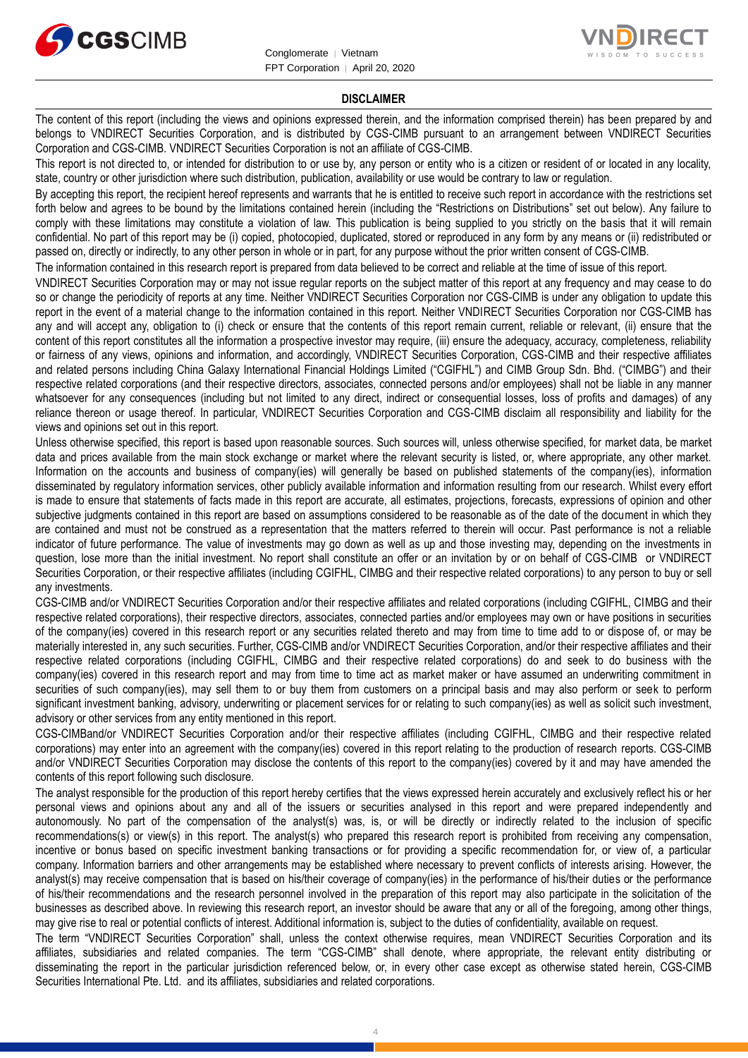



#### **DISCLAIMER**

The content of this report (including the views and opinions expressed therein, and the information comprised therein) has been prepared by and belongs to VNDIRECT Securities Corporation, and is distributed by CGS-CIMB pursuant to an arrangement between VNDIRECT Securities Corporation and CGS-CIMB. VNDIRECT Securities Corporation is not an affiliate of CGS-CIMB.

This report is not directed to, or intended for distribution to or use by, any person or entity who is a citizen or resident of or located in any locality, state, country or other jurisdiction where such distribution, publication, availability or use would be contrary to law or regulation.

By accepting this report, the recipient hereof represents and warrants that he is entitled to receive such report in accordance with the restrictions set forth below and agrees to be bound by the limitations contained herein (including the "Restrictions on Distributions" set out below). Any failure to comply with these limitations may constitute a violation of law. This publication is being supplied to you strictly on the basis that it will remain confidential. No part of this report may be (i) copied, photocopied, duplicated, stored or reproduced in any form by any means or (ii) redistributed or passed on, directly or indirectly, to any other person in whole or in part, for any purpose without the prior written consent of CGS-CIMB.

The information contained in this research report is prepared from data believed to be correct and reliable at the time of issue of this report.

VNDIRECT Securities Corporation may or may not issue regular reports on the subject matter of this report at any frequency and may cease to do so or change the periodicity of reports at any time. Neither VNDIRECT Securities Corporation nor CGS-CIMB is under any obligation to update this report in the event of a material change to the information contained in this report. Neither VNDIRECT Securities Corporation nor CGS-CIMB has any and will accept any, obligation to (i) check or ensure that the contents of this report remain current, reliable or relevant, (ii) ensure that the content of this report constitutes all the information a prospective investor may require, (iii) ensure the adequacy, accuracy, completeness, reliability or fairness of any views, opinions and information, and accordingly, VNDIRECT Securities Corporation, CGS-CIMB and their respective affiliates and related persons including China Galaxy International Financial Holdings Limited ("CGIFHL") and CIMB Group Sdn. Bhd. ("CIMBG") and their respective related corporations (and their respective directors, associates, connected persons and/or employees) shall not be liable in any manner whatsoever for any consequences (including but not limited to any direct, indirect or consequential losses, loss of profits and damages) of any reliance thereon or usage thereof. In particular, VNDIRECT Securities Corporation and CGS-CIMB disclaim all responsibility and liability for the views and opinions set out in this report.

Unless otherwise specified, this report is based upon reasonable sources. Such sources will, unless otherwise specified, for market data, be market data and prices available from the main stock exchange or market where the relevant security is listed, or, where appropriate, any other market. Information on the accounts and business of company(ies) will generally be based on published statements of the company(ies), information disseminated by regulatory information services, other publicly available information and information resulting from our research. Whilst every effort is made to ensure that statements of facts made in this report are accurate, all estimates, projections, forecasts, expressions of opinion and other subjective judgments contained in this report are based on assumptions considered to be reasonable as of the date of the document in which they are contained and must not be construed as a representation that the matters referred to therein will occur. Past performance is not a reliable indicator of future performance. The value of investments may go down as well as up and those investing may, depending on the investments in question, lose more than the initial investment. No report shall constitute an offer or an invitation by or on behalf of CGS-CIMB or VNDIRECT Securities Corporation, or their respective affiliates (including CGIFHL, CIMBG and their respective related corporations) to any person to buy or sell any investments.

CGS-CIMB and/or VNDIRECT Securities Corporation and/or their respective affiliates and related corporations (including CGIFHL, CIMBG and their respective related corporations), their respective directors, associates, connected parties and/or employees may own or have positions in securities of the company(ies) covered in this research report or any securities related thereto and may from time to time add to or dispose of, or may be materially interested in, any such securities. Further, CGS-CIMB and/or VNDIRECT Securities Corporation, and/or their respective affiliates and their respective related corporations (including CGIFHL, CIMBG and their respective related corporations) do and seek to do business with the company(ies) covered in this research report and may from time to time act as market maker or have assumed an underwriting commitment in securities of such company(ies), may sell them to or buy them from customers on a principal basis and may also perform or seek to perform significant investment banking, advisory, underwriting or placement services for or relating to such company(ies) as well as solicit such investment, advisory or other services from any entity mentioned in this report.

CGS-CIMBand/or VNDIRECT Securities Corporation and/or their respective affiliates (including CGIFHL, CIMBG and their respective related corporations) may enter into an agreement with the company(ies) covered in this report relating to the production of research reports. CGS-CIMB and/or VNDIRECT Securities Corporation may disclose the contents of this report to the company(ies) covered by it and may have amended the contents of this report following such disclosure.

The analyst responsible for the production of this report hereby certifies that the views expressed herein accurately and exclusively reflect his or her personal views and opinions about any and all of the issuers or securities analysed in this report and were prepared independently and autonomously. No part of the compensation of the analyst(s) was, is, or will be directly or indirectly related to the inclusion of specific recommendations(s) or view(s) in this report. The analyst(s) who prepared this research report is prohibited from receiving any compensation, incentive or bonus based on specific investment banking transactions or for providing a specific recommendation for, or view of, a particular company. Information barriers and other arrangements may be established where necessary to prevent conflicts of interests arising. However, the analyst(s) may receive compensation that is based on his/their coverage of company(ies) in the performance of his/their duties or the performance of his/their recommendations and the research personnel involved in the preparation of this report may also participate in the solicitation of the businesses as described above. In reviewing this research report, an investor should be aware that any or all of the foregoing, among other things, may give rise to real or potential conflicts of interest. Additional information is, subject to the duties of confidentiality, available on request.

The term "VNDIRECT Securities Corporation" shall, unless the context otherwise requires, mean VNDIRECT Securities Corporation and its affiliates, subsidiaries and related companies. The term "CGS-CIMB" shall denote, where appropriate, the relevant entity distributing or disseminating the report in the particular jurisdiction referenced below, or, in every other case except as otherwise stated herein, CGS-CIMB Securities International Pte. Ltd. and its affiliates, subsidiaries and related corporations.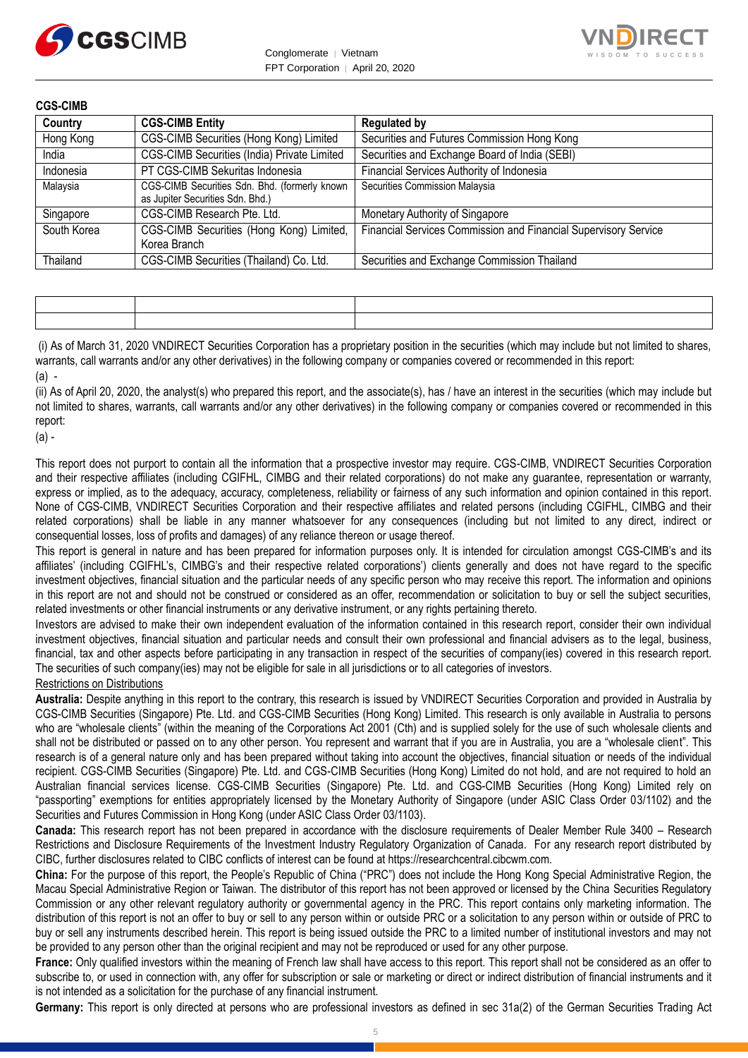



**CGS-CIMB**

| Country     | <b>CGS-CIMB Entity</b>                                                            | <b>Regulated by</b>                                             |
|-------------|-----------------------------------------------------------------------------------|-----------------------------------------------------------------|
| Hong Kong   | CGS-CIMB Securities (Hong Kong) Limited                                           | Securities and Futures Commission Hong Kong                     |
| India       | CGS-CIMB Securities (India) Private Limited                                       | Securities and Exchange Board of India (SEBI)                   |
| Indonesia   | PT CGS-CIMB Sekuritas Indonesia                                                   | Financial Services Authority of Indonesia                       |
| Malaysia    | CGS-CIMB Securities Sdn. Bhd. (formerly known<br>as Jupiter Securities Sdn. Bhd.) | Securities Commission Malaysia                                  |
| Singapore   | CGS-CIMB Research Pte. Ltd.                                                       | Monetary Authority of Singapore                                 |
| South Korea | CGS-CIMB Securities (Hong Kong) Limited,<br>Korea Branch                          | Financial Services Commission and Financial Supervisory Service |
| Thailand    | CGS-CIMB Securities (Thailand) Co. Ltd.                                           | Securities and Exchange Commission Thailand                     |

(i) As of March 31, 2020 VNDIRECT Securities Corporation has a proprietary position in the securities (which may include but not limited to shares, warrants, call warrants and/or any other derivatives) in the following company or companies covered or recommended in this report:  $(a)$  -

(ii) As of April 20, 2020, the analyst(s) who prepared this report, and the associate(s), has / have an interest in the securities (which may include but not limited to shares, warrants, call warrants and/or any other derivatives) in the following company or companies covered or recommended in this report:

(a) -

This report does not purport to contain all the information that a prospective investor may require. CGS-CIMB, VNDIRECT Securities Corporation and their respective affiliates (including CGIFHL, CIMBG and their related corporations) do not make any guarantee, representation or warranty, express or implied, as to the adequacy, accuracy, completeness, reliability or fairness of any such information and opinion contained in this report. None of CGS-CIMB, VNDIRECT Securities Corporation and their respective affiliates and related persons (including CGIFHL, CIMBG and their related corporations) shall be liable in any manner whatsoever for any consequences (including but not limited to any direct, indirect or consequential losses, loss of profits and damages) of any reliance thereon or usage thereof.

This report is general in nature and has been prepared for information purposes only. It is intended for circulation amongst CGS-CIMB's and its affiliates' (including CGIFHL's, CIMBG's and their respective related corporations') clients generally and does not have regard to the specific investment objectives, financial situation and the particular needs of any specific person who may receive this report. The information and opinions in this report are not and should not be construed or considered as an offer, recommendation or solicitation to buy or sell the subject securities, related investments or other financial instruments or any derivative instrument, or any rights pertaining thereto.

Investors are advised to make their own independent evaluation of the information contained in this research report, consider their own individual investment objectives, financial situation and particular needs and consult their own professional and financial advisers as to the legal, business, financial, tax and other aspects before participating in any transaction in respect of the securities of company(ies) covered in this research report. The securities of such company(ies) may not be eligible for sale in all jurisdictions or to all categories of investors.

#### Restrictions on Distributions

**Australia:** Despite anything in this report to the contrary, this research is issued by VNDIRECT Securities Corporation and provided in Australia by CGS-CIMB Securities (Singapore) Pte. Ltd. and CGS-CIMB Securities (Hong Kong) Limited. This research is only available in Australia to persons who are "wholesale clients" (within the meaning of the Corporations Act 2001 (Cth) and is supplied solely for the use of such wholesale clients and shall not be distributed or passed on to any other person. You represent and warrant that if you are in Australia, you are a "wholesale client". This research is of a general nature only and has been prepared without taking into account the objectives, financial situation or needs of the individual recipient. CGS-CIMB Securities (Singapore) Pte. Ltd. and CGS-CIMB Securities (Hong Kong) Limited do not hold, and are not required to hold an Australian financial services license. CGS-CIMB Securities (Singapore) Pte. Ltd. and CGS-CIMB Securities (Hong Kong) Limited rely on "passporting" exemptions for entities appropriately licensed by the Monetary Authority of Singapore (under ASIC Class Order 03/1102) and the Securities and Futures Commission in Hong Kong (under ASIC Class Order 03/1103).

**Canada:** This research report has not been prepared in accordance with the disclosure requirements of Dealer Member Rule 3400 – Research Restrictions and Disclosure Requirements of the Investment Industry Regulatory Organization of Canada. For any research report distributed by CIBC, further disclosures related to CIBC conflicts of interest can be found at https://researchcentral.cibcwm.com.

**China:** For the purpose of this report, the People's Republic of China ("PRC") does not include the Hong Kong Special Administrative Region, the Macau Special Administrative Region or Taiwan. The distributor of this report has not been approved or licensed by the China Securities Regulatory Commission or any other relevant regulatory authority or governmental agency in the PRC. This report contains only marketing information. The distribution of this report is not an offer to buy or sell to any person within or outside PRC or a solicitation to any person within or outside of PRC to buy or sell any instruments described herein. This report is being issued outside the PRC to a limited number of institutional investors and may not be provided to any person other than the original recipient and may not be reproduced or used for any other purpose.

**France:** Only qualified investors within the meaning of French law shall have access to this report. This report shall not be considered as an offer to subscribe to, or used in connection with, any offer for subscription or sale or marketing or direct or indirect distribution of financial instruments and it is not intended as a solicitation for the purchase of any financial instrument.

**Germany:** This report is only directed at persons who are professional investors as defined in sec 31a(2) of the German Securities Trading Act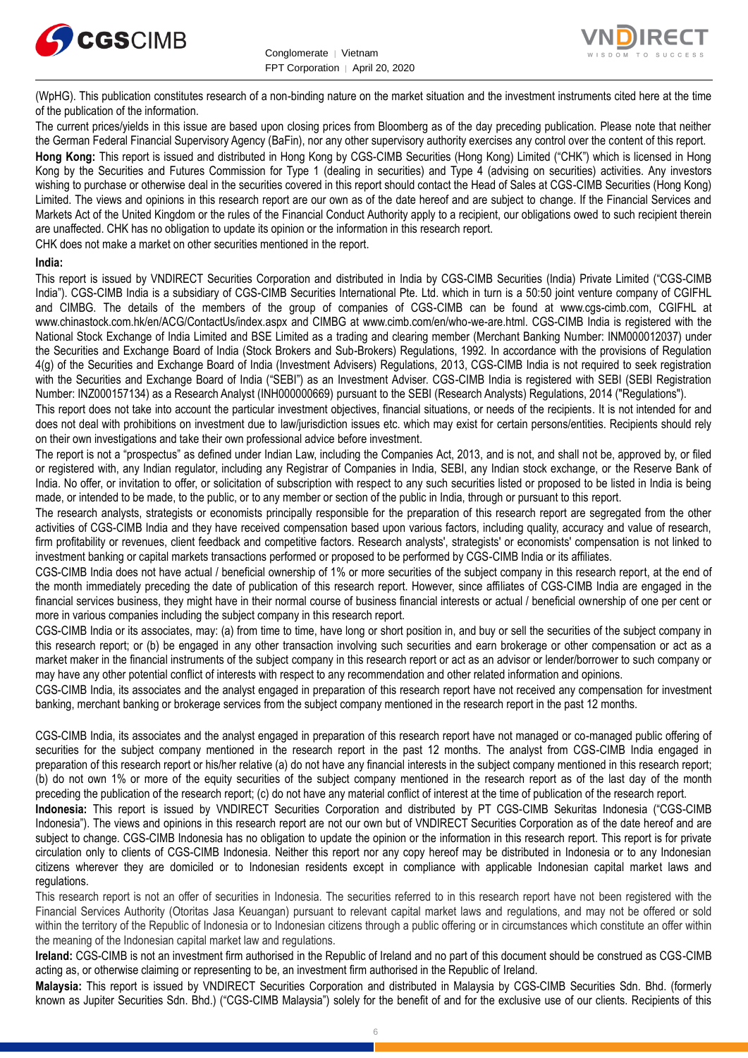

Conglomerate │ Vietnam FPT Corporation │ April 20, 2020



(WpHG). This publication constitutes research of a non-binding nature on the market situation and the investment instruments cited here at the time of the publication of the information.

The current prices/yields in this issue are based upon closing prices from Bloomberg as of the day preceding publication. Please note that neither the German Federal Financial Supervisory Agency (BaFin), nor any other supervisory authority exercises any control over the content of this report.

**Hong Kong:** This report is issued and distributed in Hong Kong by CGS-CIMB Securities (Hong Kong) Limited ("CHK") which is licensed in Hong Kong by the Securities and Futures Commission for Type 1 (dealing in securities) and Type 4 (advising on securities) activities. Any investors wishing to purchase or otherwise deal in the securities covered in this report should contact the Head of Sales at CGS-CIMB Securities (Hong Kong) Limited. The views and opinions in this research report are our own as of the date hereof and are subject to change. If the Financial Services and Markets Act of the United Kingdom or the rules of the Financial Conduct Authority apply to a recipient, our obligations owed to such recipient therein are unaffected. CHK has no obligation to update its opinion or the information in this research report.

CHK does not make a market on other securities mentioned in the report.

#### **India:**

This report is issued by VNDIRECT Securities Corporation and distributed in India by CGS-CIMB Securities (India) Private Limited ("CGS-CIMB India"). CGS-CIMB India is a subsidiary of CGS-CIMB Securities International Pte. Ltd. which in turn is a 50:50 joint venture company of CGIFHL and CIMBG. The details of the members of the group of companies of CGS-CIMB can be found at www.cgs-cimb.com, CGIFHL at www.chinastock.com.hk/en/ACG/ContactUs/index.aspx and CIMBG at www.cimb.com/en/who-we-are.html. CGS-CIMB India is registered with the National Stock Exchange of India Limited and BSE Limited as a trading and clearing member (Merchant Banking Number: INM000012037) under the Securities and Exchange Board of India (Stock Brokers and Sub-Brokers) Regulations, 1992. In accordance with the provisions of Regulation 4(g) of the Securities and Exchange Board of India (Investment Advisers) Regulations, 2013, CGS-CIMB India is not required to seek registration with the Securities and Exchange Board of India ("SEBI") as an Investment Adviser. CGS-CIMB India is registered with SEBI (SEBI Registration Number: INZ000157134) as a Research Analyst (INH000000669) pursuant to the SEBI (Research Analysts) Regulations, 2014 ("Regulations").

This report does not take into account the particular investment objectives, financial situations, or needs of the recipients. It is not intended for and does not deal with prohibitions on investment due to law/jurisdiction issues etc. which may exist for certain persons/entities. Recipients should rely on their own investigations and take their own professional advice before investment.

The report is not a "prospectus" as defined under Indian Law, including the Companies Act, 2013, and is not, and shall not be, approved by, or filed or registered with, any Indian regulator, including any Registrar of Companies in India, SEBI, any Indian stock exchange, or the Reserve Bank of India. No offer, or invitation to offer, or solicitation of subscription with respect to any such securities listed or proposed to be listed in India is being made, or intended to be made, to the public, or to any member or section of the public in India, through or pursuant to this report.

The research analysts, strategists or economists principally responsible for the preparation of this research report are segregated from the other activities of CGS-CIMB India and they have received compensation based upon various factors, including quality, accuracy and value of research, firm profitability or revenues, client feedback and competitive factors. Research analysts', strategists' or economists' compensation is not linked to investment banking or capital markets transactions performed or proposed to be performed by CGS-CIMB India or its affiliates.

CGS-CIMB India does not have actual / beneficial ownership of 1% or more securities of the subject company in this research report, at the end of the month immediately preceding the date of publication of this research report. However, since affiliates of CGS-CIMB India are engaged in the financial services business, they might have in their normal course of business financial interests or actual / beneficial ownership of one per cent or more in various companies including the subject company in this research report.

CGS-CIMB India or its associates, may: (a) from time to time, have long or short position in, and buy or sell the securities of the subject company in this research report; or (b) be engaged in any other transaction involving such securities and earn brokerage or other compensation or act as a market maker in the financial instruments of the subject company in this research report or act as an advisor or lender/borrower to such company or may have any other potential conflict of interests with respect to any recommendation and other related information and opinions.

CGS-CIMB India, its associates and the analyst engaged in preparation of this research report have not received any compensation for investment banking, merchant banking or brokerage services from the subject company mentioned in the research report in the past 12 months.

CGS-CIMB India, its associates and the analyst engaged in preparation of this research report have not managed or co-managed public offering of securities for the subject company mentioned in the research report in the past 12 months. The analyst from CGS-CIMB India engaged in preparation of this research report or his/her relative (a) do not have any financial interests in the subject company mentioned in this research report; (b) do not own 1% or more of the equity securities of the subject company mentioned in the research report as of the last day of the month preceding the publication of the research report; (c) do not have any material conflict of interest at the time of publication of the research report.

**Indonesia:** This report is issued by VNDIRECT Securities Corporation and distributed by PT CGS-CIMB Sekuritas Indonesia ("CGS-CIMB Indonesia"). The views and opinions in this research report are not our own but of VNDIRECT Securities Corporation as of the date hereof and are subject to change. CGS-CIMB Indonesia has no obligation to update the opinion or the information in this research report. This report is for private circulation only to clients of CGS-CIMB Indonesia. Neither this report nor any copy hereof may be distributed in Indonesia or to any Indonesian citizens wherever they are domiciled or to Indonesian residents except in compliance with applicable Indonesian capital market laws and regulations.

This research report is not an offer of securities in Indonesia. The securities referred to in this research report have not been registered with the Financial Services Authority (Otoritas Jasa Keuangan) pursuant to relevant capital market laws and regulations, and may not be offered or sold within the territory of the Republic of Indonesia or to Indonesian citizens through a public offering or in circumstances which constitute an offer within the meaning of the Indonesian capital market law and regulations.

**Ireland:** CGS-CIMB is not an investment firm authorised in the Republic of Ireland and no part of this document should be construed as CGS-CIMB acting as, or otherwise claiming or representing to be, an investment firm authorised in the Republic of Ireland.

**Malaysia:** This report is issued by VNDIRECT Securities Corporation and distributed in Malaysia by CGS-CIMB Securities Sdn. Bhd. (formerly known as Jupiter Securities Sdn. Bhd.) ("CGS-CIMB Malaysia") solely for the benefit of and for the exclusive use of our clients. Recipients of this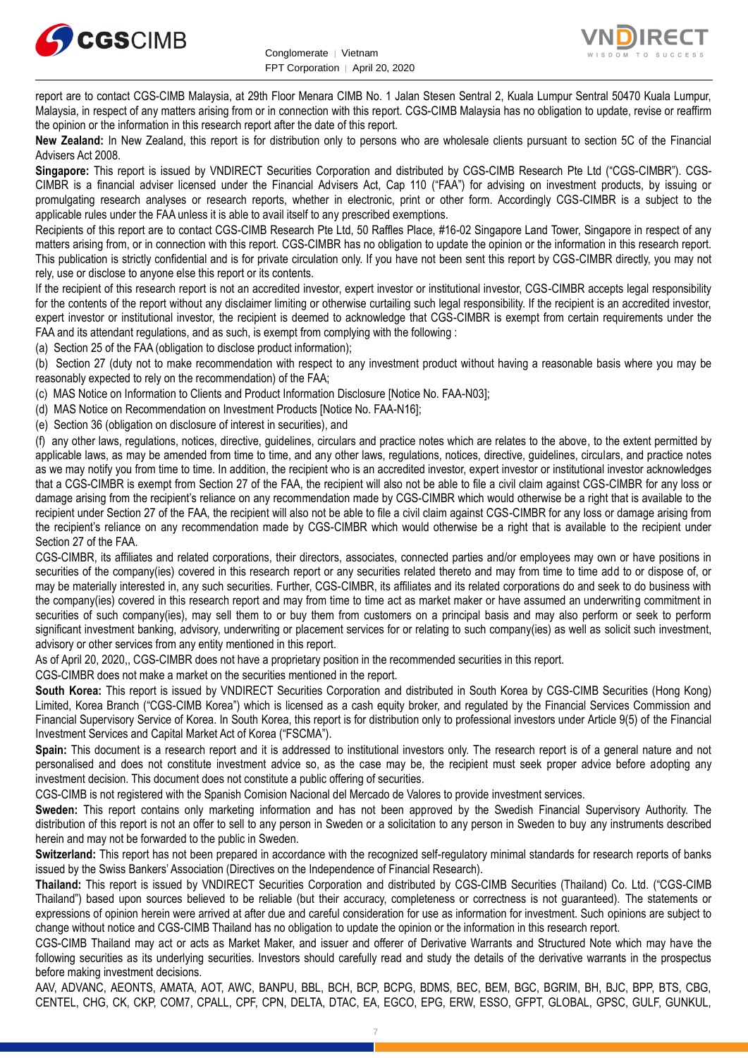



report are to contact CGS-CIMB Malaysia, at 29th Floor Menara CIMB No. 1 Jalan Stesen Sentral 2, Kuala Lumpur Sentral 50470 Kuala Lumpur, Malaysia, in respect of any matters arising from or in connection with this report. CGS-CIMB Malaysia has no obligation to update, revise or reaffirm the opinion or the information in this research report after the date of this report.

**New Zealand:** In New Zealand, this report is for distribution only to persons who are wholesale clients pursuant to section 5C of the Financial Advisers Act 2008.

**Singapore:** This report is issued by VNDIRECT Securities Corporation and distributed by CGS-CIMB Research Pte Ltd ("CGS-CIMBR"). CGS-CIMBR is a financial adviser licensed under the Financial Advisers Act, Cap 110 ("FAA") for advising on investment products, by issuing or promulgating research analyses or research reports, whether in electronic, print or other form. Accordingly CGS-CIMBR is a subject to the applicable rules under the FAA unless it is able to avail itself to any prescribed exemptions.

Recipients of this report are to contact CGS-CIMB Research Pte Ltd, 50 Raffles Place, #16-02 Singapore Land Tower, Singapore in respect of any matters arising from, or in connection with this report. CGS-CIMBR has no obligation to update the opinion or the information in this research report. This publication is strictly confidential and is for private circulation only. If you have not been sent this report by CGS-CIMBR directly, you may not rely, use or disclose to anyone else this report or its contents.

If the recipient of this research report is not an accredited investor, expert investor or institutional investor, CGS-CIMBR accepts legal responsibility for the contents of the report without any disclaimer limiting or otherwise curtailing such legal responsibility. If the recipient is an accredited investor, expert investor or institutional investor, the recipient is deemed to acknowledge that CGS-CIMBR is exempt from certain requirements under the FAA and its attendant regulations, and as such, is exempt from complying with the following :

(a) Section 25 of the FAA (obligation to disclose product information);

(b) Section 27 (duty not to make recommendation with respect to any investment product without having a reasonable basis where you may be reasonably expected to rely on the recommendation) of the FAA;

(c) MAS Notice on Information to Clients and Product Information Disclosure [Notice No. FAA-N03];

(d) MAS Notice on Recommendation on Investment Products [Notice No. FAA-N16];

(e) Section 36 (obligation on disclosure of interest in securities), and

(f) any other laws, regulations, notices, directive, guidelines, circulars and practice notes which are relates to the above, to the extent permitted by applicable laws, as may be amended from time to time, and any other laws, regulations, notices, directive, guidelines, circulars, and practice notes as we may notify you from time to time. In addition, the recipient who is an accredited investor, expert investor or institutional investor acknowledges that a CGS-CIMBR is exempt from Section 27 of the FAA, the recipient will also not be able to file a civil claim against CGS-CIMBR for any loss or damage arising from the recipient's reliance on any recommendation made by CGS-CIMBR which would otherwise be a right that is available to the recipient under Section 27 of the FAA, the recipient will also not be able to file a civil claim against CGS-CIMBR for any loss or damage arising from the recipient's reliance on any recommendation made by CGS-CIMBR which would otherwise be a right that is available to the recipient under Section 27 of the FAA.

CGS-CIMBR, its affiliates and related corporations, their directors, associates, connected parties and/or employees may own or have positions in securities of the company(ies) covered in this research report or any securities related thereto and may from time to time add to or dispose of, or may be materially interested in, any such securities. Further, CGS-CIMBR, its affiliates and its related corporations do and seek to do business with the company(ies) covered in this research report and may from time to time act as market maker or have assumed an underwriting commitment in securities of such company(ies), may sell them to or buy them from customers on a principal basis and may also perform or seek to perform significant investment banking, advisory, underwriting or placement services for or relating to such company(ies) as well as solicit such investment, advisory or other services from any entity mentioned in this report.

As of April 20, 2020,, CGS-CIMBR does not have a proprietary position in the recommended securities in this report.

CGS-CIMBR does not make a market on the securities mentioned in the report.

**South Korea:** This report is issued by VNDIRECT Securities Corporation and distributed in South Korea by CGS-CIMB Securities (Hong Kong) Limited, Korea Branch ("CGS-CIMB Korea") which is licensed as a cash equity broker, and regulated by the Financial Services Commission and Financial Supervisory Service of Korea. In South Korea, this report is for distribution only to professional investors under Article 9(5) of the Financial Investment Services and Capital Market Act of Korea ("FSCMA").

**Spain:** This document is a research report and it is addressed to institutional investors only. The research report is of a general nature and not personalised and does not constitute investment advice so, as the case may be, the recipient must seek proper advice before adopting any investment decision. This document does not constitute a public offering of securities.

CGS-CIMB is not registered with the Spanish Comision Nacional del Mercado de Valores to provide investment services.

**Sweden:** This report contains only marketing information and has not been approved by the Swedish Financial Supervisory Authority. The distribution of this report is not an offer to sell to any person in Sweden or a solicitation to any person in Sweden to buy any instruments described herein and may not be forwarded to the public in Sweden.

**Switzerland:** This report has not been prepared in accordance with the recognized self-regulatory minimal standards for research reports of banks issued by the Swiss Bankers' Association (Directives on the Independence of Financial Research).

**Thailand:** This report is issued by VNDIRECT Securities Corporation and distributed by CGS-CIMB Securities (Thailand) Co. Ltd. ("CGS-CIMB Thailand") based upon sources believed to be reliable (but their accuracy, completeness or correctness is not guaranteed). The statements or expressions of opinion herein were arrived at after due and careful consideration for use as information for investment. Such opinions are subject to change without notice and CGS-CIMB Thailand has no obligation to update the opinion or the information in this research report.

CGS-CIMB Thailand may act or acts as Market Maker, and issuer and offerer of Derivative Warrants and Structured Note which may have the following securities as its underlying securities. Investors should carefully read and study the details of the derivative warrants in the prospectus before making investment decisions.

AAV, ADVANC, AEONTS, AMATA, AOT, AWC, BANPU, BBL, BCH, BCP, BCPG, BDMS, BEC, BEM, BGC, BGRIM, BH, BJC, BPP, BTS, CBG, CENTEL, CHG, CK, CKP, COM7, CPALL, CPF, CPN, DELTA, DTAC, EA, EGCO, EPG, ERW, ESSO, GFPT, GLOBAL, GPSC, GULF, GUNKUL,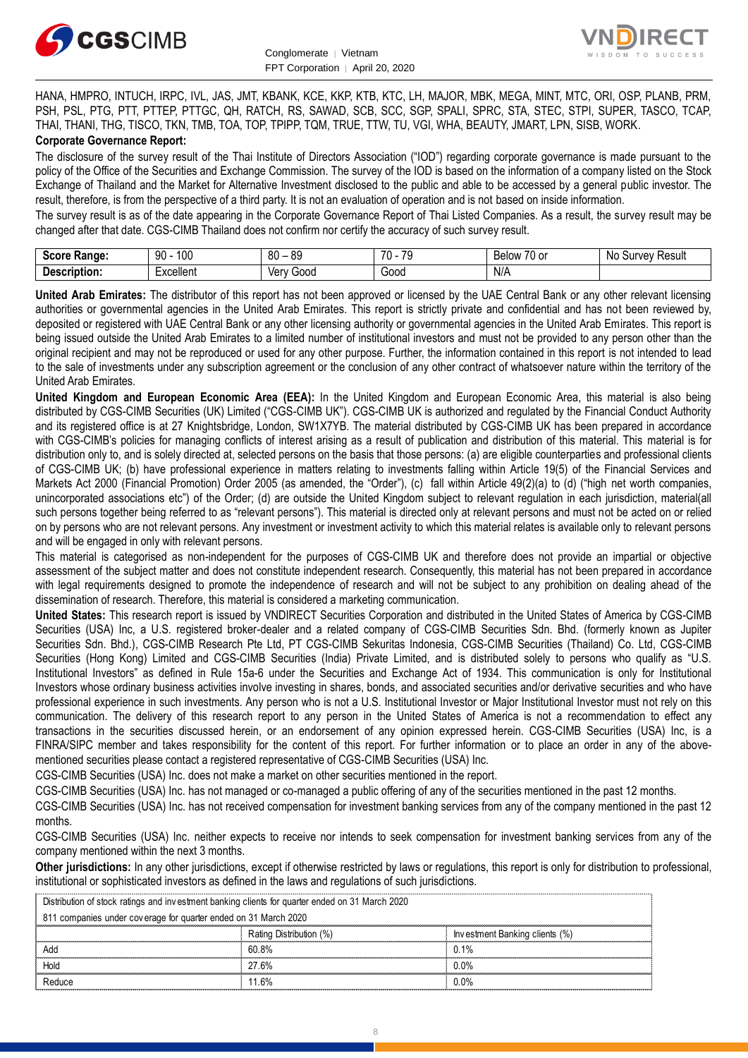



HANA, HMPRO, INTUCH, IRPC, IVL, JAS, JMT, KBANK, KCE, KKP, KTB, KTC, LH, MAJOR, MBK, MEGA, MINT, MTC, ORI, OSP, PLANB, PRM, PSH, PSL, PTG, PTT, PTTEP, PTTGC, QH, RATCH, RS, SAWAD, SCB, SCC, SGP, SPALI, SPRC, STA, STEC, STPI, SUPER, TASCO, TCAP, THAI, THANI, THG, TISCO, TKN, TMB, TOA, TOP, TPIPP, TQM, TRUE, TTW, TU, VGI, WHA, BEAUTY, JMART, LPN, SISB, WORK. **Corporate Governance Report:**

The disclosure of the survey result of the Thai Institute of Directors Association ("IOD") regarding corporate governance is made pursuant to the policy of the Office of the Securities and Exchange Commission. The survey of the IOD is based on the information of a company listed on the Stock Exchange of Thailand and the Market for Alternative Investment disclosed to the public and able to be accessed by a general public investor. The result, therefore, is from the perspective of a third party. It is not an evaluation of operation and is not based on inside information.

The survey result is as of the date appearing in the Corporate Governance Report of Thai Listed Companies. As a result, the survey result may be changed after that date. CGS-CIMB Thailand does not confirm nor certify the accuracy of such survey result.

| Saara.<br>Range:<br>ocort | 100<br>۵N<br>JU | RΓ<br>or<br>-<br>υu<br>ັບ | 70<br>70<br>. . | $\overline{\phantom{a}}$<br>.<br>$\sim$<br><b>DEIUW</b><br>, ט<br>וש | Resul <sup>®</sup><br>N0<br>urvev. |
|---------------------------|-----------------|---------------------------|-----------------|----------------------------------------------------------------------|------------------------------------|
| Description:              | :xcellent       | Verv<br>000ز              | 000ن<br>- - - - | N/A                                                                  |                                    |

**United Arab Emirates:** The distributor of this report has not been approved or licensed by the UAE Central Bank or any other relevant licensing authorities or governmental agencies in the United Arab Emirates. This report is strictly private and confidential and has not been reviewed by, deposited or registered with UAE Central Bank or any other licensing authority or governmental agencies in the United Arab Emirates. This report is being issued outside the United Arab Emirates to a limited number of institutional investors and must not be provided to any person other than the original recipient and may not be reproduced or used for any other purpose. Further, the information contained in this report is not intended to lead to the sale of investments under any subscription agreement or the conclusion of any other contract of whatsoever nature within the territory of the United Arab Emirates.

**United Kingdom and European Economic Area (EEA):** In the United Kingdom and European Economic Area, this material is also being distributed by CGS-CIMB Securities (UK) Limited ("CGS-CIMB UK"). CGS-CIMB UK is authorized and regulated by the Financial Conduct Authority and its registered office is at 27 Knightsbridge, London, SW1X7YB. The material distributed by CGS-CIMB UK has been prepared in accordance with CGS-CIMB's policies for managing conflicts of interest arising as a result of publication and distribution of this material. This material is for distribution only to, and is solely directed at, selected persons on the basis that those persons: (a) are eligible counterparties and professional clients of CGS-CIMB UK; (b) have professional experience in matters relating to investments falling within Article 19(5) of the Financial Services and Markets Act 2000 (Financial Promotion) Order 2005 (as amended, the "Order"), (c) fall within Article 49(2)(a) to (d) ("high net worth companies, unincorporated associations etc") of the Order; (d) are outside the United Kingdom subject to relevant regulation in each jurisdiction, material(all such persons together being referred to as "relevant persons"). This material is directed only at relevant persons and must not be acted on or relied on by persons who are not relevant persons. Any investment or investment activity to which this material relates is available only to relevant persons and will be engaged in only with relevant persons.

This material is categorised as non-independent for the purposes of CGS-CIMB UK and therefore does not provide an impartial or objective assessment of the subject matter and does not constitute independent research. Consequently, this material has not been prepared in accordance with legal requirements designed to promote the independence of research and will not be subject to any prohibition on dealing ahead of the dissemination of research. Therefore, this material is considered a marketing communication.

**United States:** This research report is issued by VNDIRECT Securities Corporation and distributed in the United States of America by CGS-CIMB Securities (USA) Inc, a U.S. registered broker-dealer and a related company of CGS-CIMB Securities Sdn. Bhd. (formerly known as Jupiter Securities Sdn. Bhd.), CGS-CIMB Research Pte Ltd, PT CGS-CIMB Sekuritas Indonesia, CGS-CIMB Securities (Thailand) Co. Ltd, CGS-CIMB Securities (Hong Kong) Limited and CGS-CIMB Securities (India) Private Limited, and is distributed solely to persons who qualify as "U.S. Institutional Investors" as defined in Rule 15a-6 under the Securities and Exchange Act of 1934. This communication is only for Institutional Investors whose ordinary business activities involve investing in shares, bonds, and associated securities and/or derivative securities and who have professional experience in such investments. Any person who is not a U.S. Institutional Investor or Major Institutional Investor must not rely on this communication. The delivery of this research report to any person in the United States of America is not a recommendation to effect any transactions in the securities discussed herein, or an endorsement of any opinion expressed herein. CGS-CIMB Securities (USA) Inc, is a FINRA/SIPC member and takes responsibility for the content of this report. For further information or to place an order in any of the abovementioned securities please contact a registered representative of CGS-CIMB Securities (USA) Inc.

CGS-CIMB Securities (USA) Inc. does not make a market on other securities mentioned in the report.

CGS-CIMB Securities (USA) Inc. has not managed or co-managed a public offering of any of the securities mentioned in the past 12 months.

CGS-CIMB Securities (USA) Inc. has not received compensation for investment banking services from any of the company mentioned in the past 12 months.

CGS-CIMB Securities (USA) Inc. neither expects to receive nor intends to seek compensation for investment banking services from any of the company mentioned within the next 3 months.

**Other jurisdictions:** In any other jurisdictions, except if otherwise restricted by laws or regulations, this report is only for distribution to professional, institutional or sophisticated investors as defined in the laws and regulations of such jurisdictions. being the purisdictions: In any other jurisdictions, except if otherwise restricted by langulational or sophisticated investors as defined in the laws and regulations of sudistribution of stock ratings and investment banki

| <b>Other jurisdictions:</b> In any other jurisdictions, except if otherwise restricted by laws or regulations, this report is only for distribution to<br>institutional or sophisticated investors as defined in the laws and regulations of such jurisdictions. |                         |                                |  |
|------------------------------------------------------------------------------------------------------------------------------------------------------------------------------------------------------------------------------------------------------------------|-------------------------|--------------------------------|--|
| Distribution of stock ratings and investment banking clients for quarter ended on 31 March 2020                                                                                                                                                                  |                         |                                |  |
| 811 companies under coverage for quarter ended on 31 March 2020                                                                                                                                                                                                  |                         |                                |  |
|                                                                                                                                                                                                                                                                  | Rating Distribution (%) | Investment Banking clients (%) |  |
| Add                                                                                                                                                                                                                                                              | 60.8%                   | 0.1%                           |  |
| Hold                                                                                                                                                                                                                                                             | 27.6%                   | $0.0\%$                        |  |
| Reduce                                                                                                                                                                                                                                                           | 11.6%                   | $0.0\%$                        |  |
|                                                                                                                                                                                                                                                                  |                         |                                |  |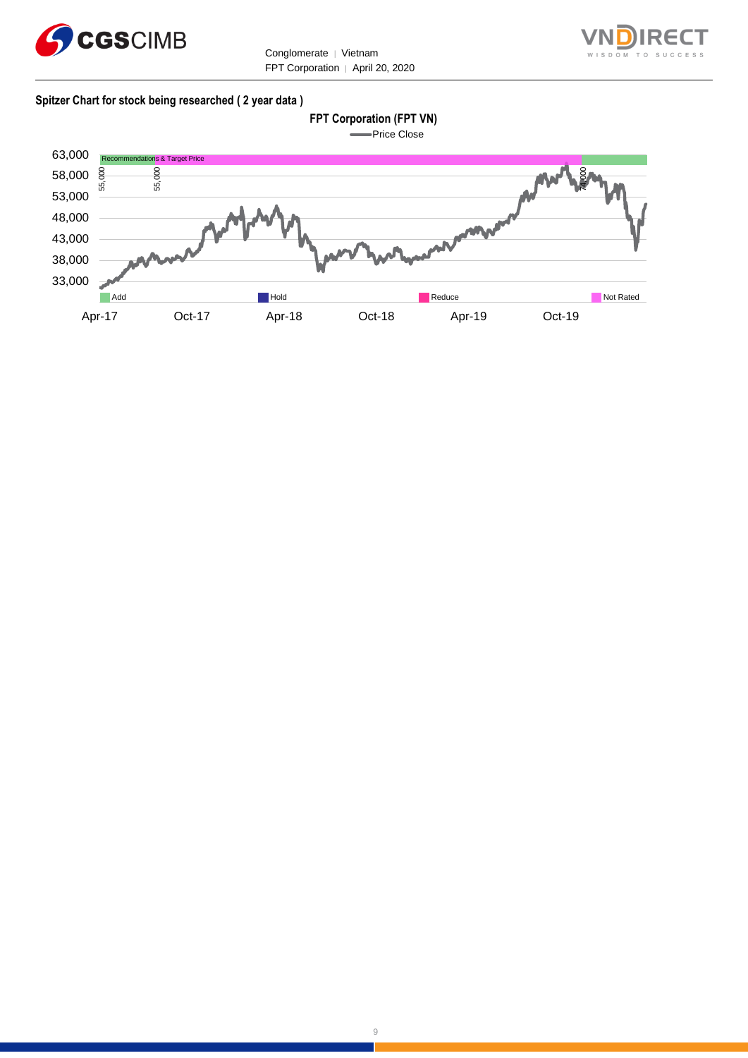

Conglomerate │ Vietnam FPT Corporation | April 20, 2020



#### **Spitzer Chart for stock being researched ( 2 year data )**

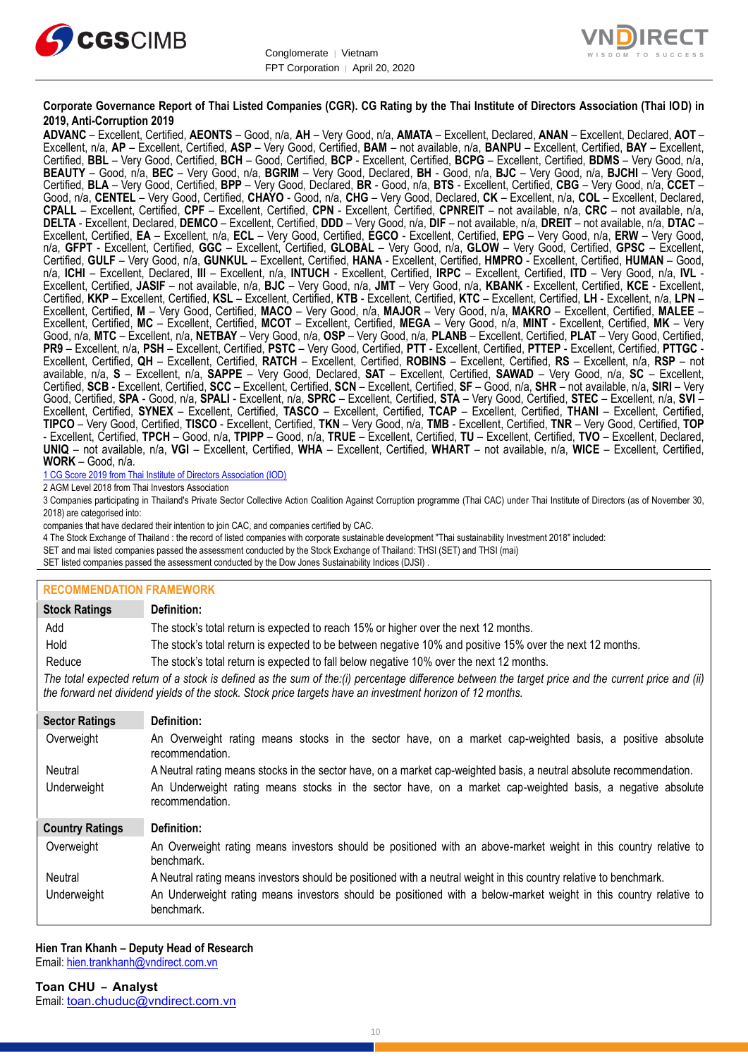



#### **Corporate Governance Report of Thai Listed Companies (CGR). CG Rating by the Thai Institute of Directors Association (Thai IOD) in 2019, Anti-Corruption 2019**

**ADVANC** – Excellent, Certified, **AEONTS** – Good, n/a, **AH** – Very Good, n/a, **AMATA** – Excellent, Declared, **ANAN** – Excellent, Declared, **AOT** – Excellent, n/a, **AP** – Excellent, Certified, **ASP** – Very Good, Certified, **BAM** – not available, n/a, **BANPU** – Excellent, Certified, **BAY** – Excellent, Certified, **BBL** – Very Good, Certified, **BCH** – Good, Certified, **BCP** - Excellent, Certified, **BCPG** – Excellent, Certified, **BDMS** – Very Good, n/a, **BEAUTY** – Good, n/a, **BEC** – Very Good, n/a, **BGRIM** – Very Good, Declared, **BH** - Good, n/a, **BJC** – Very Good, n/a, **BJCHI** – Very Good, Certified, **BLA** – Very Good, Certified, **BPP** – Very Good, Declared, **BR** - Good, n/a, **BTS** - Excellent, Certified, **CBG** – Very Good, n/a, **CCET** – Good, n/a, **CENTEL** – Very Good, Certified, **CHAYO** - Good, n/a, **CHG** – Very Good, Declared, **CK** – Excellent, n/a, **COL** – Excellent, Declared, **CPALL** – Excellent, Certified, **CPF** – Excellent, Certified, **CPN** - Excellent, Certified, **CPNREIT** – not available, n/a, **CRC** – not available, n/a, **DELTA** - Excellent, Declared, **DEMCO** – Excellent, Certified, **DDD** – Very Good, n/a, **DIF** – not available, n/a, **DREIT** – not available, n/a, **DTAC** – Excellent, Certified, **EA** – Excellent, n/a, **ECL** – Very Good, Certified, **EGCO** - Excellent, Certified, **EPG** – Very Good, n/a, **ERW** – Very Good, n/a, **GFPT** - Excellent, Certified, **GGC** – Excellent, Certified, **GLOBAL** – Very Good, n/a, **GLOW** – Very Good, Certified, **GPSC** – Excellent, Certified, **GULF** – Very Good, n/a, **GUNKUL** – Excellent, Certified, **HANA** - Excellent, Certified, **HMPRO** - Excellent, Certified, **HUMAN** – Good, n/a, **ICHI** – Excellent, Declared, **III** – Excellent, n/a, **INTUCH** - Excellent, Certified, **IRPC** – Excellent, Certified, **ITD** – Very Good, n/a, **IVL** - Excellent, Certified, **JASIF** – not available, n/a, **BJC** – Very Good, n/a, **JMT** – Very Good, n/a, **KBANK** - Excellent, Certified, **KCE** - Excellent, Certified, **KKP** – Excellent, Certified, **KSL** – Excellent, Certified, **KTB** - Excellent, Certified, **KTC** – Excellent, Certified, **LH** - Excellent, n/a, **LPN** – Excellent, Certified, **M** – Very Good, Certified, **MACO** – Very Good, n/a, **MAJOR** – Very Good, n/a, **MAKRO** – Excellent, Certified, **MALEE** – Excellent, Certified, **MC** – Excellent, Certified, **MCOT** – Excellent, Certified, **MEGA** – Very Good, n/a, **MINT** - Excellent, Certified, **MK** – Very Good, n/a, **MTC** – Excellent, n/a, **NETBAY** – Very Good, n/a, **OSP** – Very Good, n/a, **PLANB** – Excellent, Certified, **PLAT** – Very Good, Certified, **PR9** – Excellent, n/a, **PSH** – Excellent, Certified, **PSTC** – Very Good, Certified, **PTT** - Excellent, Certified, **PTTEP** - Excellent, Certified, **PTTGC** - Excellent, Certified, **QH** – Excellent, Certified, **RATCH** – Excellent, Certified, **ROBINS** – Excellent, Certified, **RS** – Excellent, n/a, **RSP** – not available, n/a, **S** – Excellent, n/a, **SAPPE** – Very Good, Declared, **SAT** – Excellent, Certified, **SAWAD** – Very Good, n/a, **SC** – Excellent, Certified, **SCB** - Excellent, Certified, **SCC** – Excellent, Certified, **SCN** – Excellent, Certified, **SF** – Good, n/a, **SHR** – not available, n/a, **SIRI** – Very Good, Certified, **SPA** - Good, n/a, **SPALI** - Excellent, n/a, **SPRC** – Excellent, Certified, **STA** – Very Good, Certified, **STEC** – Excellent, n/a, **SVI** – Excellent, Certified, **SYNEX** – Excellent, Certified, **TASCO** – Excellent, Certified, **TCAP** – Excellent, Certified, **THANI** – Excellent, Certified, **TIPCO** – Very Good, Certified, **TISCO** - Excellent, Certified, **TKN** – Very Good, n/a, **TMB** - Excellent, Certified, **TNR** – Very Good, Certified, **TOP** - Excellent, Certified, **TPCH** – Good, n/a, **TPIPP** – Good, n/a, **TRUE** – Excellent, Certified, **TU** – Excellent, Certified, **TVO** – Excellent, Declared, **UNIQ** – not available, n/a, **VGI** – Excellent, Certified, **WHA** – Excellent, Certified, **WHART** – not available, n/a, **WICE** – Excellent, Certified, **WORK** – Good, n/a.

1 CG Score 2019 from Thai Institute of Directors Association (IOD)

2 AGM Level 2018 from Thai Investors Association

3 Companies participating in Thailand's Private Sector Collective Action Coalition Against Corruption programme (Thai CAC) under Thai Institute of Directors (as of November 30, 2018) are categorised into:

companies that have declared their intention to join CAC, and companies certified by CAC.

4 [The Stock Exchange of Thailand : the record of listed companies with corporate sustainable development "Thai sustainability Investment 2018"](http://www.set.or.th/sustainable_dev/en/sr/sri/tsi_p1.html) included:

SET and mai listed companies passed the assessment conducted by the Stock Exchange of Thailand: THSI (SET) and THSI (mai)

SET listed companies passed the assessment conducted by the Dow Jones Sustainability Indices (DJSI)

#### **RECOMMENDATION FRAMEWORK**

| <b>Stock Ratings</b>                                                                                                                                                                                                                                              | Definition:                                                                                                                     |  |
|-------------------------------------------------------------------------------------------------------------------------------------------------------------------------------------------------------------------------------------------------------------------|---------------------------------------------------------------------------------------------------------------------------------|--|
| Add                                                                                                                                                                                                                                                               | The stock's total return is expected to reach 15% or higher over the next 12 months.                                            |  |
| Hold                                                                                                                                                                                                                                                              | The stock's total return is expected to be between negative 10% and positive 15% over the next 12 months.                       |  |
| Reduce                                                                                                                                                                                                                                                            | The stock's total return is expected to fall below negative 10% over the next 12 months.                                        |  |
| The total expected return of a stock is defined as the sum of the:(i) percentage difference between the target price and the current price and (ii)<br>the forward net dividend yields of the stock. Stock price targets have an investment horizon of 12 months. |                                                                                                                                 |  |
| <b>Sector Ratings</b>                                                                                                                                                                                                                                             | Definition:                                                                                                                     |  |
| Overweight                                                                                                                                                                                                                                                        | An Overweight rating means stocks in the sector have, on a market cap-weighted basis, a positive absolute<br>recommendation.    |  |
| Neutral                                                                                                                                                                                                                                                           | A Neutral rating means stocks in the sector have, on a market cap-weighted basis, a neutral absolute recommendation.            |  |
| Underweight                                                                                                                                                                                                                                                       | An Underweight rating means stocks in the sector have, on a market cap-weighted basis, a negative absolute<br>recommendation.   |  |
| <b>Country Ratings</b>                                                                                                                                                                                                                                            | Definition:                                                                                                                     |  |
| Overweight                                                                                                                                                                                                                                                        | An Overweight rating means investors should be positioned with an above-market weight in this country relative to<br>benchmark. |  |
| Neutral                                                                                                                                                                                                                                                           | A Neutral rating means investors should be positioned with a neutral weight in this country relative to benchmark.              |  |
| Underweight                                                                                                                                                                                                                                                       | An Underweight rating means investors should be positioned with a below-market weight in this country relative to<br>benchmark. |  |

#### **Hien Tran Khanh – Deputy Head of Research** Email: [hien.trankhanh@vndirect.com.vn](mailto:hien.trankhanh@vndirect.com.vn)